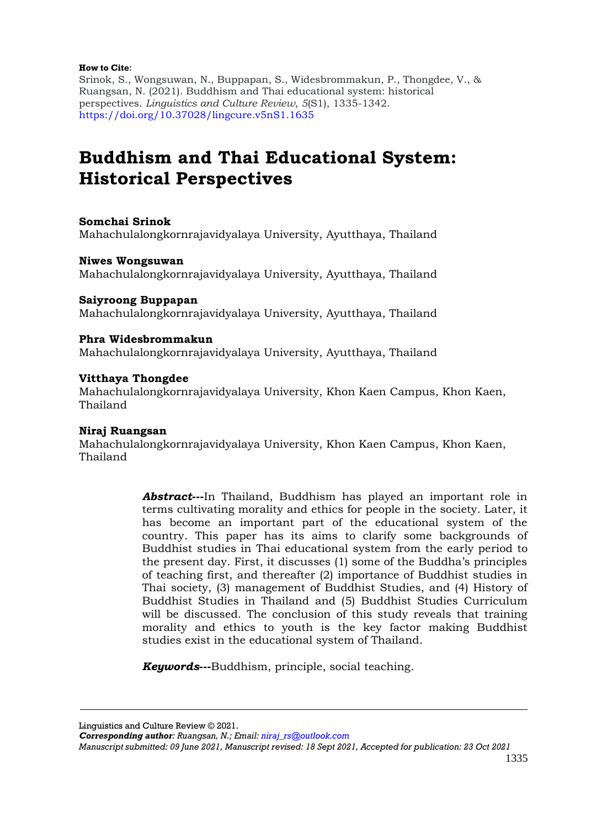#### **How to Cite**:

Srinok, S., Wongsuwan, N., Buppapan, S., Widesbrommakun, P., Thongdee, V., & Ruangsan, N. (2021). Buddhism and Thai educational system: historical perspectives. *Linguistics and Culture Review*, *5*(S1), 1335-1342. [https://doi.org/10.37028/lingcure.v5nS1.1635](https://lingcure.org/index.php/journal/article/view/1635)

# **Buddhism and Thai Educational System: Historical Perspectives**

## **Somchai Srinok**

Mahachulalongkornrajavidyalaya University, Ayutthaya, Thailand

## **Niwes Wongsuwan**

Mahachulalongkornrajavidyalaya University, Ayutthaya, Thailand

## **Saiyroong Buppapan**

Mahachulalongkornrajavidyalaya University, Ayutthaya, Thailand

## **Phra Widesbrommakun**

Mahachulalongkornrajavidyalaya University, Ayutthaya, Thailand

## **Vitthaya Thongdee**

Mahachulalongkornrajavidyalaya University, Khon Kaen Campus, Khon Kaen, Thailand

## **Niraj Ruangsan**

Mahachulalongkornrajavidyalaya University, Khon Kaen Campus, Khon Kaen, Thailand

> *Abstract***---**In Thailand, Buddhism has played an important role in terms cultivating morality and ethics for people in the society. Later, it has become an important part of the educational system of the country. This paper has its aims to clarify some backgrounds of Buddhist studies in Thai educational system from the early period to the present day. First, it discusses (1) some of the Buddha's principles of teaching first, and thereafter (2) importance of Buddhist studies in Thai society, (3) management of Buddhist Studies, and (4) History of Buddhist Studies in Thailand and (5) Buddhist Studies Curriculum will be discussed. The conclusion of this study reveals that training morality and ethics to youth is the key factor making Buddhist studies exist in the educational system of Thailand.

*Keywords***---**Buddhism, principle, social teaching.

Linguistics and Culture Review © 2021.

*Corresponding author: Ruangsan, N.; Email: [niraj\\_rs@outlook.com](mailto:niraj_rs@outlook.com)*

*Manuscript submitted: 09 June 2021, Manuscript revised: 18 Sept 2021, Accepted for publication: 23 Oct 2021*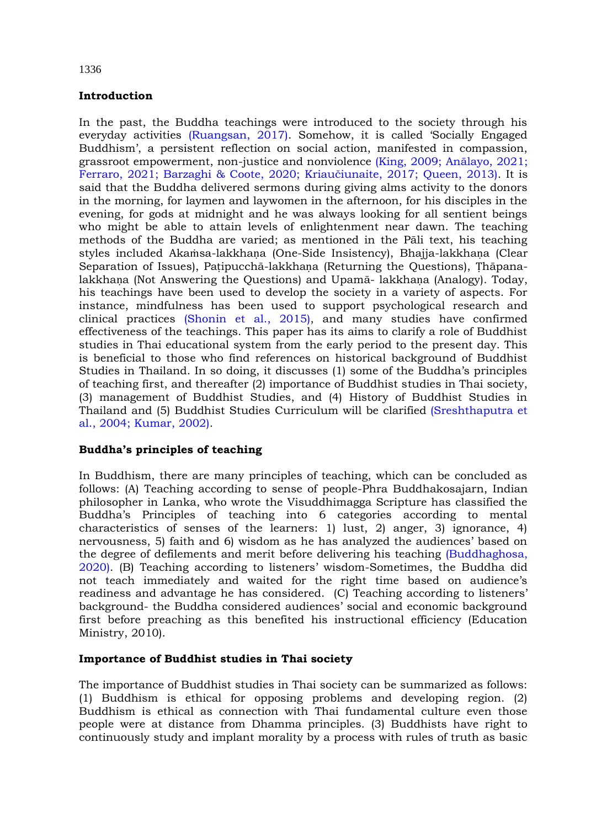## **Introduction**

In the past, the Buddha teachings were introduced to the society through his everyday activities [\(Ruangsan, 2017\)](#page-6-0). Somehow, it is called 'Socially Engaged Buddhism', a persistent reflection on social action, manifested in compassion, grassroot empowerment, non-justice and nonviolence (King, 2009; [Anālayo, 2021](#page-6-0); [Ferraro, 2021; Barzaghi & Coote, 2020;](#page-6-0) Kriaučiunaite, 2017; Queen, 2013). It is said that the Buddha delivered sermons during giving alms activity to the donors in the morning, for laymen and laywomen in the afternoon, for his disciples in the evening, for gods at midnight and he was always looking for all sentient beings who might be able to attain levels of enlightenment near dawn. The teaching methods of the Buddha are varied; as mentioned in the Pāli text, his teaching styles included Akaṁsa-lakkhaṇa (One-Side Insistency), Bhajja-lakkhaṇa (Clear Separation of Issues), Patipucchā-lakkhana (Returning the Questions), Thāpanalakkhaṇa (Not Answering the Questions) and Upamā- lakkhaṇa (Analogy). Today, his teachings have been used to develop the society in a variety of aspects. For instance, mindfulness has been used to support psychological research and clinical practices [\(Shonin](#page-6-0) et al., 2015), and many studies have confirmed effectiveness of the teachings. This paper has its aims to clarify a role of Buddhist studies in Thai educational system from the early period to the present day. This is beneficial to those who find references on historical background of Buddhist Studies in Thailand. In so doing, it discusses (1) some of the Buddha's principles of teaching first, and thereafter (2) importance of Buddhist studies in Thai society, (3) management of Buddhist Studies, and (4) History of Buddhist Studies in Thailand and (5) Buddhist Studies Curriculum will be clarified [\(Sreshthaputra et](#page-6-0)  [al., 2004; Kumar, 2002\).](#page-6-0)

## **Buddha's principles of teaching**

In Buddhism, there are many principles of teaching, which can be concluded as follows: (A) Teaching according to sense of people-Phra Buddhakosajarn, Indian philosopher in Lanka, who wrote the Visuddhimagga Scripture has classified the Buddha's Principles of teaching into 6 categories according to mental characteristics of senses of the learners: 1) lust, 2) anger, 3) ignorance, 4) nervousness, 5) faith and 6) wisdom as he has analyzed the audiences' based on the degree of defilements and merit before delivering his teaching [\(Buddhaghosa,](#page-6-0)  [2020\)](#page-6-0). (B) Teaching according to listeners' wisdom-Sometimes, the Buddha did not teach immediately and waited for the right time based on audience's readiness and advantage he has considered. (C) Teaching according to listeners' background- the Buddha considered audiences' social and economic background first before preaching as this benefited his instructional efficiency (Education Ministry, 2010).

## **Importance of Buddhist studies in Thai society**

The importance of Buddhist studies in Thai society can be summarized as follows: (1) Buddhism is ethical for opposing problems and developing region. (2) Buddhism is ethical as connection with Thai fundamental culture even those people were at distance from Dhamma principles. (3) Buddhists have right to continuously study and implant morality by a process with rules of truth as basic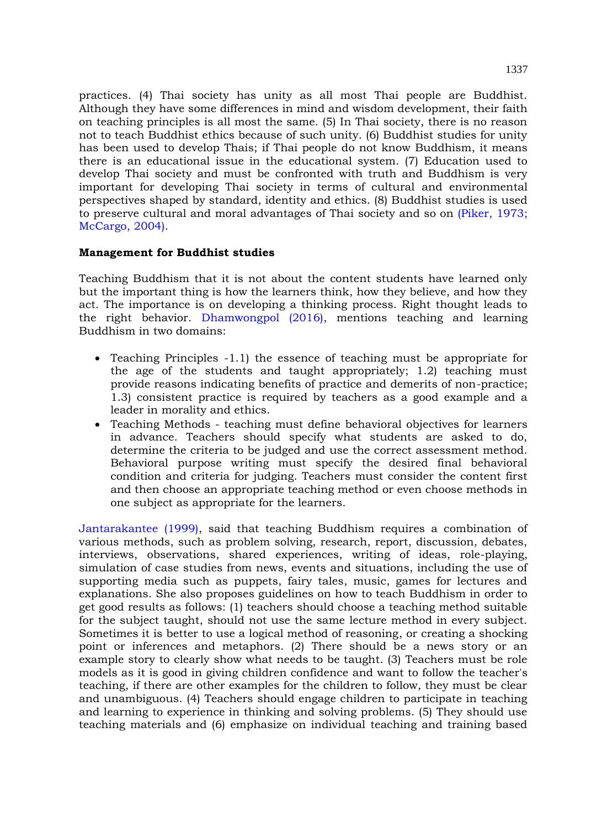practices. (4) Thai society has unity as all most Thai people are Buddhist. Although they have some differences in mind and wisdom development, their faith on teaching principles is all most the same. (5) In Thai society, there is no reason not to teach Buddhist ethics because of such unity. (6) Buddhist studies for unity has been used to develop Thais; if Thai people do not know Buddhism, it means there is an educational issue in the educational system. (7) Education used to develop Thai society and must be confronted with truth and Buddhism is very important for developing Thai society in terms of cultural and environmental perspectives shaped by standard, identity and ethics. (8) Buddhist studies is used to preserve cultural and moral advantages of Thai society and so on [\(Piker, 1973;](#page-6-0)  [McCargo, 2004\).](#page-6-0)

#### **Management for Buddhist studies**

Teaching Buddhism that it is not about the content students have learned only but the important thing is how the learners think, how they believe, and how they act. The importance is on developing a thinking process. Right thought leads to the right behavior. [Dhamwongpol \(2016\),](#page-6-0) mentions teaching and learning Buddhism in two domains:

- $\bullet$  Teaching Principles  $-1.1$ ) the essence of teaching must be appropriate for the age of the students and taught appropriately; 1.2) teaching must provide reasons indicating benefits of practice and demerits of non-practice; 1.3) consistent practice is required by teachers as a good example and a leader in morality and ethics.
- Teaching Methods teaching must define behavioral objectives for learners in advance. Teachers should specify what students are asked to do, determine the criteria to be judged and use the correct assessment method. Behavioral purpose writing must specify the desired final behavioral condition and criteria for judging. Teachers must consider the content first and then choose an appropriate teaching method or even choose methods in one subject as appropriate for the learners.

[Jantarakantee](#page-6-0) (1999), said that teaching Buddhism requires a combination of various methods, such as problem solving, research, report, discussion, debates, interviews, observations, shared experiences, writing of ideas, role-playing, simulation of case studies from news, events and situations, including the use of supporting media such as puppets, fairy tales, music, games for lectures and explanations. She also proposes guidelines on how to teach Buddhism in order to get good results as follows: (1) teachers should choose a teaching method suitable for the subject taught, should not use the same lecture method in every subject. Sometimes it is better to use a logical method of reasoning, or creating a shocking point or inferences and metaphors. (2) There should be a news story or an example story to clearly show what needs to be taught. (3) Teachers must be role models as it is good in giving children confidence and want to follow the teacher's teaching, if there are other examples for the children to follow, they must be clear and unambiguous. (4) Teachers should engage children to participate in teaching and learning to experience in thinking and solving problems. (5) They should use teaching materials and (6) emphasize on individual teaching and training based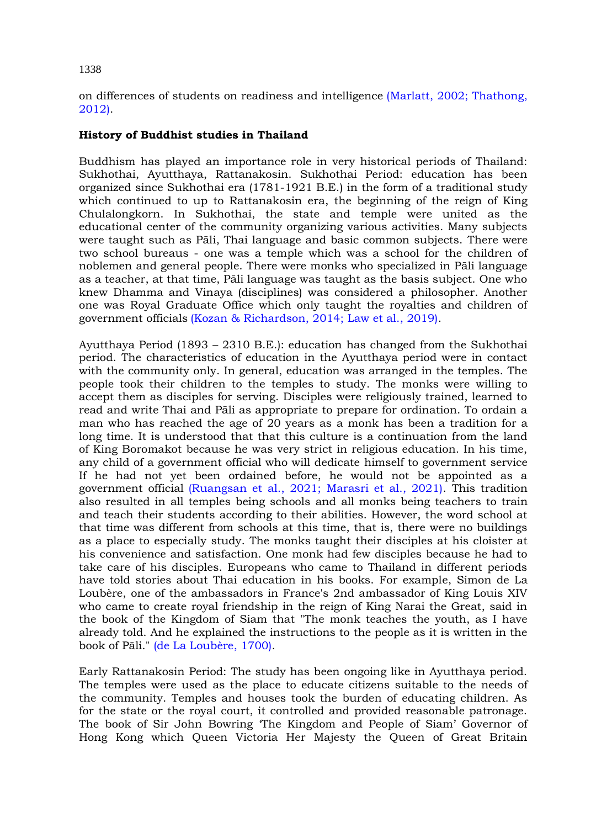## 1338

on differences of students on readiness and intelligence [\(Marlatt, 2002; Thathong,](#page-6-0)  [2012\).](#page-6-0)

## **History of Buddhist studies in Thailand**

Buddhism has played an importance role in very historical periods of Thailand: Sukhothai, Ayutthaya, Rattanakosin. Sukhothai Period: education has been organized since Sukhothai era (1781-1921 B.E.) in the form of a traditional study which continued to up to Rattanakosin era, the beginning of the reign of King Chulalongkorn. In Sukhothai, the state and temple were united as the educational center of the community organizing various activities. Many subjects were taught such as Pāli, Thai language and basic common subjects. There were two school bureaus - one was a temple which was a school for the children of noblemen and general people. There were monks who specialized in Pāli language as a teacher, at that time, Pāli language was taught as the basis subject. One who knew Dhamma and Vinaya (disciplines) was considered a philosopher. Another one was Royal Graduate Office which only taught the royalties and children of government officials [\(Kozan & Richardson, 2014; Law et al., 2019\).](#page-6-0)

Ayutthaya Period (1893 – 2310 B.E.): education has changed from the Sukhothai period. The characteristics of education in the Ayutthaya period were in contact with the community only. In general, education was arranged in the temples. The people took their children to the temples to study. The monks were willing to accept them as disciples for serving. Disciples were religiously trained, learned to read and write Thai and Pāli as appropriate to prepare for ordination. To ordain a man who has reached the age of 20 years as a monk has been a tradition for a long time. It is understood that that this culture is a continuation from the land of King Boromakot because he was very strict in religious education. In his time, any child of a government official who will dedicate himself to government service If he had not yet been ordained before, he would not be appointed as a government official [\(Ruangsan et al., 2021; Marasri et al., 2021\).](#page-6-0) This tradition also resulted in all temples being schools and all monks being teachers to train and teach their students according to their abilities. However, the word school at that time was different from schools at this time, that is, there were no buildings as a place to especially study. The monks taught their disciples at his cloister at his convenience and satisfaction. One monk had few disciples because he had to take care of his disciples. Europeans who came to Thailand in different periods have told stories about Thai education in his books. For example, Simon de La Loubère, one of the ambassadors in France's 2nd ambassador of King Louis XIV who came to create royal friendship in the reign of King Narai the Great, said in the book of the Kingdom of Siam that "The monk teaches the youth, as I have already told. And he explained the instructions to the people as it is written in the book of Pāli." [\(de La Loubère, 1700\).](#page-6-0)

Early Rattanakosin Period: The study has been ongoing like in Ayutthaya period. The temples were used as the place to educate citizens suitable to the needs of the community. Temples and houses took the burden of educating children. As for the state or the royal court, it controlled and provided reasonable patronage. The book of Sir John Bowring 'The Kingdom and People of Siam' Governor of Hong Kong which Queen Victoria Her Majesty the Queen of Great Britain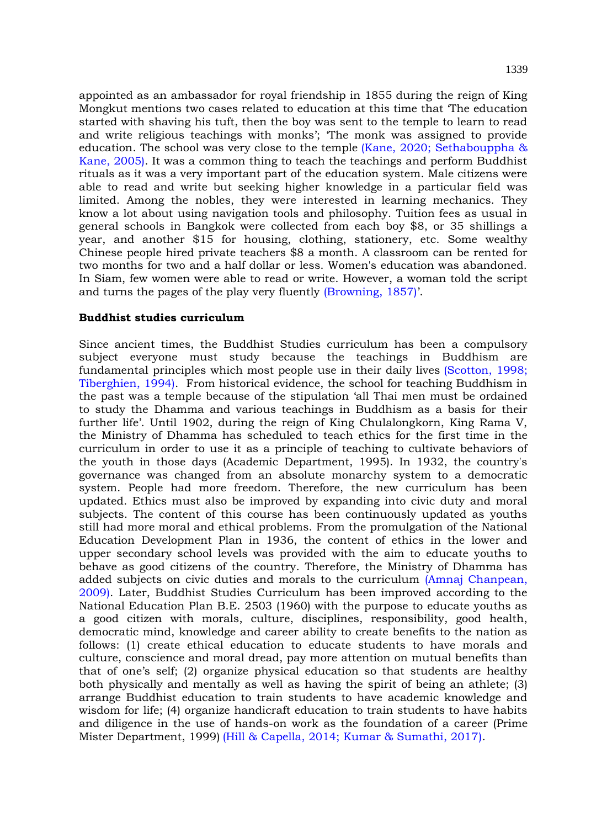appointed as an ambassador for royal friendship in 1855 during the reign of King Mongkut mentions two cases related to education at this time that 'The education started with shaving his tuft, then the boy was sent to the temple to learn to read and write religious teachings with monks'; 'The monk was assigned to provide education. The school was very close to the temple [\(Kane, 2020; Sethabouppha &](#page-6-0)  [Kane, 2005\).](#page-6-0) It was a common thing to teach the teachings and perform Buddhist rituals as it was a very important part of the education system. Male citizens were able to read and write but seeking higher knowledge in a particular field was limited. Among the nobles, they were interested in learning mechanics. They know a lot about using navigation tools and philosophy. Tuition fees as usual in general schools in Bangkok were collected from each boy \$8, or 35 shillings a year, and another \$15 for housing, clothing, stationery, etc. Some wealthy Chinese people hired private teachers \$8 a month. A classroom can be rented for two months for two and a half dollar or less. Women's education was abandoned. In Siam, few women were able to read or write. However, a woman told the script and turns the pages of the play very fluently [\(Browning, 1857\)](#page-6-0)'.

#### **Buddhist studies curriculum**

Since ancient times, the Buddhist Studies curriculum has been a compulsory subject everyone must study because the teachings in Buddhism are fundamental principles which most people use in their daily lives [\(Scotton, 1998;](#page-6-0)  [Tiberghien, 1994\).](#page-6-0) From historical evidence, the school for teaching Buddhism in the past was a temple because of the stipulation 'all Thai men must be ordained to study the Dhamma and various teachings in Buddhism as a basis for their further life'. Until 1902, during the reign of King Chulalongkorn, King Rama V, the Ministry of Dhamma has scheduled to teach ethics for the first time in the curriculum in order to use it as a principle of teaching to cultivate behaviors of the youth in those days (Academic Department, 1995). In 1932, the country's governance was changed from an absolute monarchy system to a democratic system. People had more freedom. Therefore, the new curriculum has been updated. Ethics must also be improved by expanding into civic duty and moral subjects. The content of this course has been continuously updated as youths still had more moral and ethical problems. From the promulgation of the National Education Development Plan in 1936, the content of ethics in the lower and upper secondary school levels was provided with the aim to educate youths to behave as good citizens of the country. Therefore, the Ministry of Dhamma has added subjects on civic duties and morals to the curriculum [\(Amnaj Chanpean,](#page-6-0)  [2009\).](#page-6-0) Later, Buddhist Studies Curriculum has been improved according to the National Education Plan B.E. 2503 (1960) with the purpose to educate youths as a good citizen with morals, culture, disciplines, responsibility, good health, democratic mind, knowledge and career ability to create benefits to the nation as follows: (1) create ethical education to educate students to have morals and culture, conscience and moral dread, pay more attention on mutual benefits than that of one's self; (2) organize physical education so that students are healthy both physically and mentally as well as having the spirit of being an athlete; (3) arrange Buddhist education to train students to have academic knowledge and wisdom for life; (4) organize handicraft education to train students to have habits and diligence in the use of hands-on work as the foundation of a career (Prime Mister Department, 1999) [\(Hill & Capella, 2014; Kumar & Sumathi, 2017\).](#page-6-0)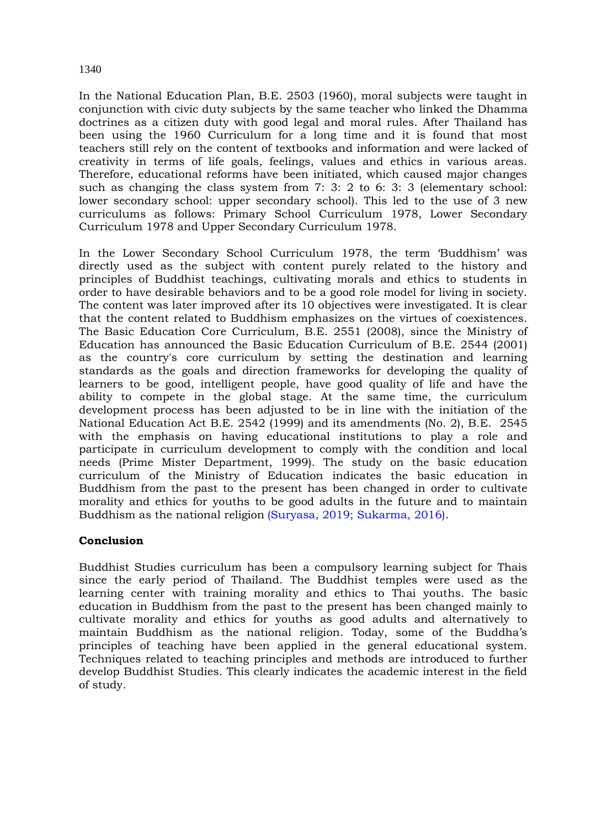## In the National Education Plan, B.E. 2503 (1960), moral subjects were taught in conjunction with civic duty subjects by the same teacher who linked the Dhamma doctrines as a citizen duty with good legal and moral rules. After Thailand has been using the 1960 Curriculum for a long time and it is found that most teachers still rely on the content of textbooks and information and were lacked of creativity in terms of life goals, feelings, values and ethics in various areas. Therefore, educational reforms have been initiated, which caused major changes such as changing the class system from 7: 3: 2 to 6: 3: 3 (elementary school: lower secondary school: upper secondary school). This led to the use of 3 new curriculums as follows: Primary School Curriculum 1978, Lower Secondary Curriculum 1978 and Upper Secondary Curriculum 1978.

In the Lower Secondary School Curriculum 1978, the term 'Buddhism' was directly used as the subject with content purely related to the history and principles of Buddhist teachings, cultivating morals and ethics to students in order to have desirable behaviors and to be a good role model for living in society. The content was later improved after its 10 objectives were investigated. It is clear that the content related to Buddhism emphasizes on the virtues of coexistences. The Basic Education Core Curriculum, B.E. 2551 (2008), since the Ministry of Education has announced the Basic Education Curriculum of B.E. 2544 (2001) as the country's core curriculum by setting the destination and learning standards as the goals and direction frameworks for developing the quality of learners to be good, intelligent people, have good quality of life and have the ability to compete in the global stage. At the same time, the curriculum development process has been adjusted to be in line with the initiation of the National Education Act B.E. 2542 (1999) and its amendments (No. 2), B.E. 2545 with the emphasis on having educational institutions to play a role and participate in curriculum development to comply with the condition and local needs (Prime Mister Department, 1999). The study on the basic education curriculum of the Ministry of Education indicates the basic education in Buddhism from the past to the present has been changed in order to cultivate morality and ethics for youths to be good adults in the future and to maintain Buddhism as the national religion [\(Suryasa, 2019; Sukarma, 2016\).](#page-6-0)

## **Conclusion**

Buddhist Studies curriculum has been a compulsory learning subject for Thais since the early period of Thailand. The Buddhist temples were used as the learning center with training morality and ethics to Thai youths. The basic education in Buddhism from the past to the present has been changed mainly to cultivate morality and ethics for youths as good adults and alternatively to maintain Buddhism as the national religion. Today, some of the Buddha's principles of teaching have been applied in the general educational system. Techniques related to teaching principles and methods are introduced to further develop Buddhist Studies. This clearly indicates the academic interest in the field of study.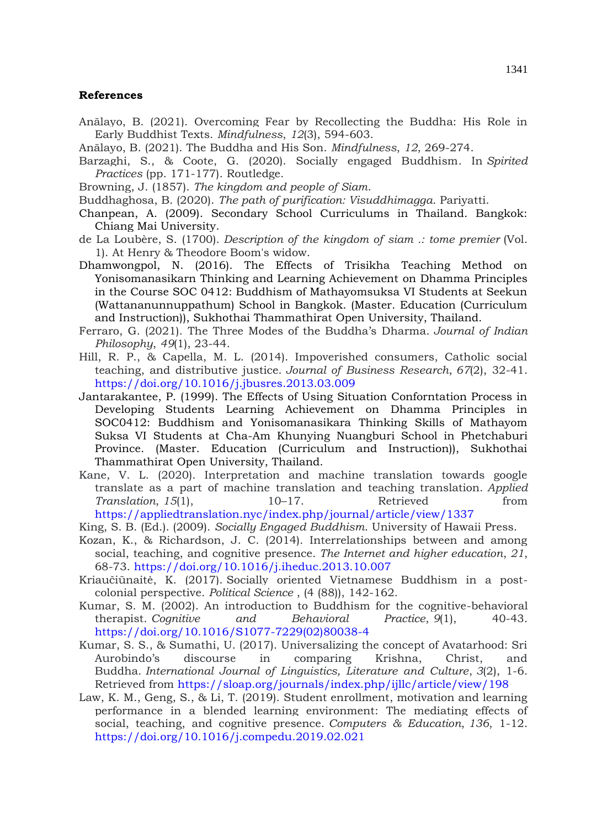#### <span id="page-6-0"></span>**References**

- Anālayo, B. (2021). Overcoming Fear by Recollecting the Buddha: His Role in Early Buddhist Texts. *Mindfulness*, *12*(3), 594-603.
- Anālayo, B. (2021). The Buddha and His Son. *Mindfulness*, *12*, 269-274.
- Barzaghi, S., & Coote, G. (2020). Socially engaged Buddhism. In *Spirited Practices* (pp. 171-177). Routledge.
- Browning, J. (1857). *The kingdom and people of Siam*.
- Buddhaghosa, B. (2020). *The path of purification: Visuddhimagga*. Pariyatti.
- Chanpean, A. (2009). Secondary School Curriculums in Thailand. Bangkok: Chiang Mai University.
- de La Loubère, S. (1700). *Description of the kingdom of siam .: tome premier* (Vol. 1). At Henry & Theodore Boom's widow.
- Dhamwongpol, N. (2016). The Effects of Trisikha Teaching Method on Yonisomanasikarn Thinking and Learning Achievement on Dhamma Principles in the Course SOC 0412: Buddhism of Mathayomsuksa VI Students at Seekun (Wattananunnuppathum) School in Bangkok. (Master. Education (Curriculum and Instruction)), Sukhothai Thammathirat Open University, Thailand.
- Ferraro, G. (2021). The Three Modes of the Buddha's Dharma. *Journal of Indian Philosophy*, *49*(1), 23-44.
- Hill, R. P., & Capella, M. L. (2014). Impoverished consumers, Catholic social teaching, and distributive justice. *Journal of Business Research*, *67*(2), 32-41. <https://doi.org/10.1016/j.jbusres.2013.03.009>
- Jantarakantee, P. (1999). The Effects of Using Situation Conforntation Process in Developing Students Learning Achievement on Dhamma Principles in SOC0412: Buddhism and Yonisomanasikara Thinking Skills of Mathayom Suksa VI Students at Cha-Am Khunying Nuangburi School in Phetchaburi Province. (Master. Education (Curriculum and Instruction)), Sukhothai Thammathirat Open University, Thailand.
- Kane, V. L. (2020). Interpretation and machine translation towards google translate as a part of machine translation and teaching translation. *Applied Translation*, 15(1), 10–17. Retrieved from <https://appliedtranslation.nyc/index.php/journal/article/view/1337>
- King, S. B. (Ed.). (2009). *Socially Engaged Buddhism*. University of Hawaii Press.
- Kozan, K., & Richardson, J. C. (2014). Interrelationships between and among social, teaching, and cognitive presence. *The Internet and higher education*, *21*, 68-73. <https://doi.org/10.1016/j.iheduc.2013.10.007>
- Kriaučiūnaitė, K. (2017). Socially oriented Vietnamese Buddhism in a postcolonial perspective. *Political Science* , (4 (88)), 142-162.
- Kumar, S. M. (2002). An introduction to Buddhism for the cognitive-behavioral therapist. *Cognitive and Behavioral Practice*, *9*(1), 40-43. [https://doi.org/10.1016/S1077-7229\(02\)80038-4](https://doi.org/10.1016/S1077-7229(02)80038-4)
- Kumar, S. S., & Sumathi, U. (2017). Universalizing the concept of Avatarhood: Sri Aurobindo's discourse in comparing Krishna, Christ, and Buddha. *International Journal of Linguistics, Literature and Culture*, *3*(2), 1-6. Retrieved from<https://sloap.org/journals/index.php/ijllc/article/view/198>
- Law, K. M., Geng, S., & Li, T. (2019). Student enrollment, motivation and learning performance in a blended learning environment: The mediating effects of social, teaching, and cognitive presence. *Computers & Education*, *136*, 1-12. <https://doi.org/10.1016/j.compedu.2019.02.021>